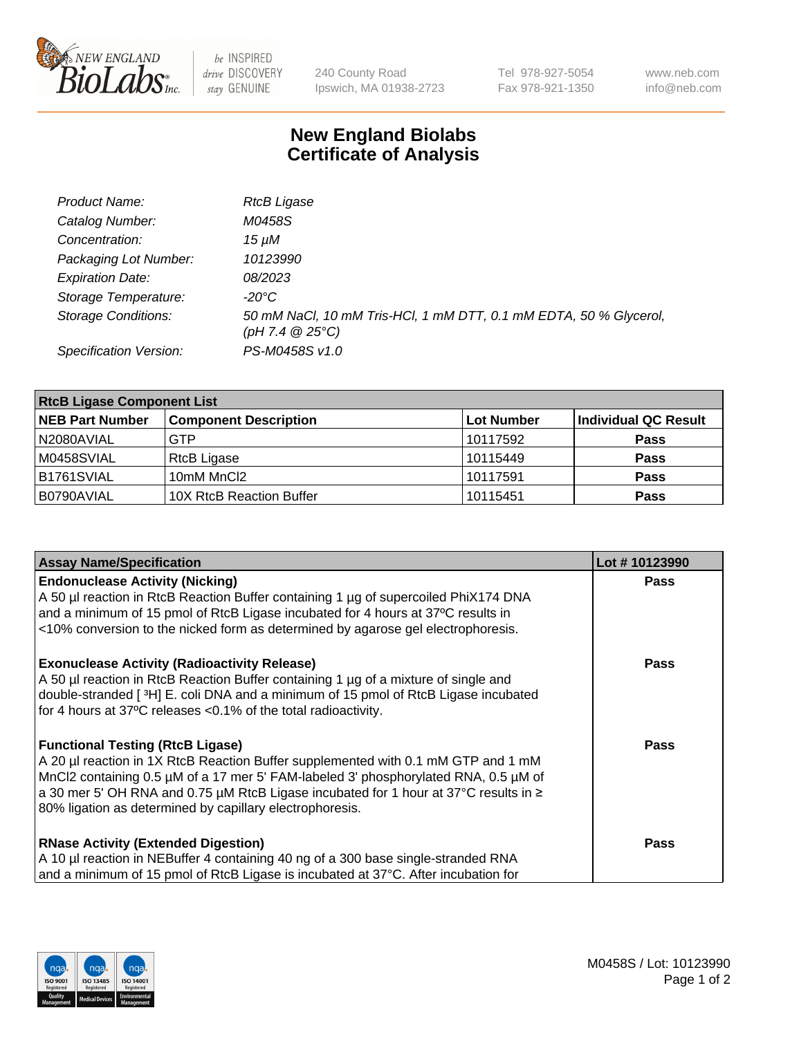

 $be$  INSPIRED drive DISCOVERY stay GENUINE

240 County Road Ipswich, MA 01938-2723 Tel 978-927-5054 Fax 978-921-1350 www.neb.com info@neb.com

## **New England Biolabs Certificate of Analysis**

| Product Name:              | <b>RtcB Ligase</b>                                                                     |
|----------------------------|----------------------------------------------------------------------------------------|
| Catalog Number:            | M0458S                                                                                 |
| Concentration:             | 15 uM                                                                                  |
| Packaging Lot Number:      | 10123990                                                                               |
| <b>Expiration Date:</b>    | <i>08/2023</i>                                                                         |
| Storage Temperature:       | -20°C                                                                                  |
| <b>Storage Conditions:</b> | 50 mM NaCl, 10 mM Tris-HCl, 1 mM DTT, 0.1 mM EDTA, 50 % Glycerol,<br>(pH 7.4 $@25°C$ ) |
| Specification Version:     | PS-M0458S v1.0                                                                         |

| <b>RtcB Ligase Component List</b> |                              |                   |                             |  |
|-----------------------------------|------------------------------|-------------------|-----------------------------|--|
| <b>NEB Part Number</b>            | <b>Component Description</b> | <b>Lot Number</b> | <b>Individual QC Result</b> |  |
| N2080AVIAL                        | <b>GTP</b>                   | 10117592          | <b>Pass</b>                 |  |
| M0458SVIAL                        | RtcB Ligase                  | 10115449          | <b>Pass</b>                 |  |
| B1761SVIAL                        | 10mM MnCl2                   | 10117591          | <b>Pass</b>                 |  |
| B0790AVIAL                        | 10X RtcB Reaction Buffer     | 10115451          | <b>Pass</b>                 |  |

| <b>Assay Name/Specification</b>                                                                                                                                                                                                                                                                                                                                         | Lot #10123990 |
|-------------------------------------------------------------------------------------------------------------------------------------------------------------------------------------------------------------------------------------------------------------------------------------------------------------------------------------------------------------------------|---------------|
| <b>Endonuclease Activity (Nicking)</b><br>A 50 µl reaction in RtcB Reaction Buffer containing 1 µg of supercoiled PhiX174 DNA<br>and a minimum of 15 pmol of RtcB Ligase incubated for 4 hours at 37°C results in<br><10% conversion to the nicked form as determined by agarose gel electrophoresis.                                                                   | <b>Pass</b>   |
| <b>Exonuclease Activity (Radioactivity Release)</b><br>A 50 µl reaction in RtcB Reaction Buffer containing 1 µg of a mixture of single and<br>double-stranded [3H] E. coli DNA and a minimum of 15 pmol of RtcB Ligase incubated<br>for 4 hours at 37°C releases <0.1% of the total radioactivity.                                                                      | <b>Pass</b>   |
| <b>Functional Testing (RtcB Ligase)</b><br>A 20 µl reaction in 1X RtcB Reaction Buffer supplemented with 0.1 mM GTP and 1 mM<br>MnCl2 containing 0.5 µM of a 17 mer 5' FAM-labeled 3' phosphorylated RNA, 0.5 µM of<br>a 30 mer 5' OH RNA and 0.75 µM RtcB Ligase incubated for 1 hour at 37°C results in ≥<br>80% ligation as determined by capillary electrophoresis. | <b>Pass</b>   |
| <b>RNase Activity (Extended Digestion)</b><br>A 10 µl reaction in NEBuffer 4 containing 40 ng of a 300 base single-stranded RNA<br>and a minimum of 15 pmol of RtcB Ligase is incubated at 37°C. After incubation for                                                                                                                                                   | Pass          |